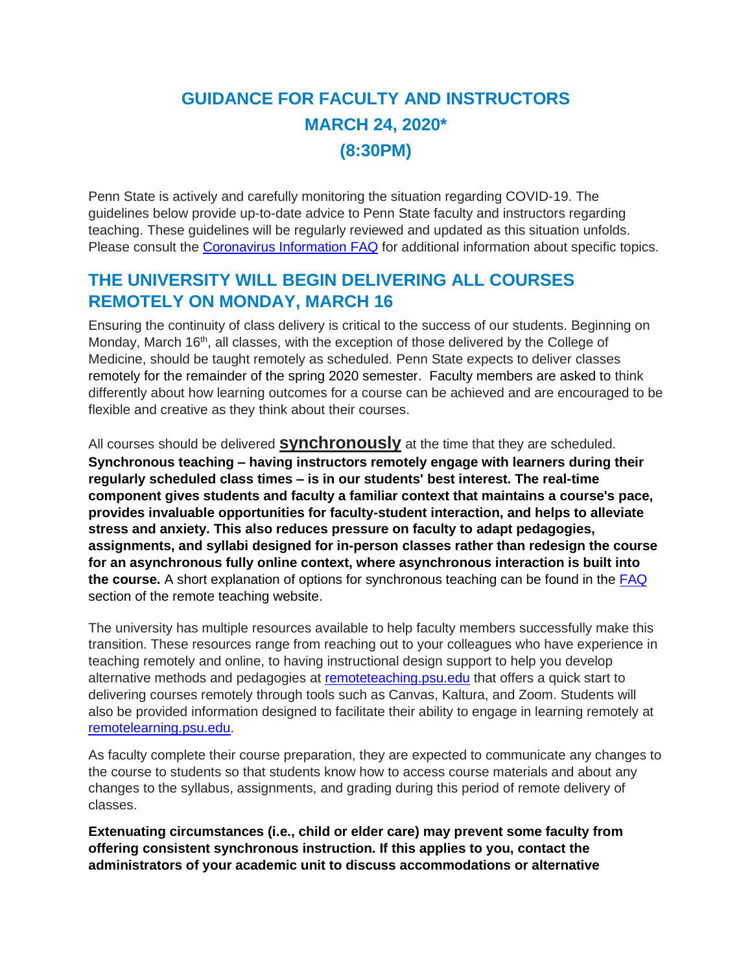# **GUIDANCE FOR FACULTY AND INSTRUCTORS MARCH 24, 2020\* (8:30PM)**

Penn State is actively and carefully monitoring the situation regarding COVID-19. The guidelines below provide up-to-date advice to Penn State faculty and instructors regarding teaching. These guidelines will be regularly reviewed and updated as this situation unfolds. Please consult the [Coronavirus Information FAQ](https://sites.psu.edu/virusinfo/faqs/#events) for additional information about specific topics.

## **THE UNIVERSITY WILL BEGIN DELIVERING ALL COURSES REMOTELY ON MONDAY, MARCH 16**

Ensuring the continuity of class delivery is critical to the success of our students. Beginning on Monday, March 16<sup>th</sup>, all classes, with the exception of those delivered by the College of Medicine, should be taught remotely as scheduled. Penn State expects to deliver classes remotely for the remainder of the spring 2020 semester. Faculty members are asked to think differently about how learning outcomes for a course can be achieved and are encouraged to be flexible and creative as they think about their courses.

All courses should be delivered **synchronously** at the time that they are scheduled. **Synchronous teaching – having instructors remotely engage with learners during their regularly scheduled class times – is in our students' best interest. The real-time component gives students and faculty a familiar context that maintains a course's pace, provides invaluable opportunities for faculty-student interaction, and helps to alleviate stress and anxiety. This also reduces pressure on faculty to adapt pedagogies, assignments, and syllabi designed for in-person classes rather than redesign the course for an asynchronous fully online context, where asynchronous interaction is built into the course.** A short explanation of options for synchronous teaching can be found in the [FAQ](https://remoteteaching.psu.edu/faq/) section of the remote teaching website.

The university has multiple resources available to help faculty members successfully make this transition. These resources range from reaching out to your colleagues who have experience in teaching remotely and online, to having instructional design support to help you develop alternative methods and pedagogies at [remoteteaching.psu.edu](https://tlt.psu.edu/continuity/) that offers a quick start to delivering courses remotely through tools such as Canvas, Kaltura, and Zoom. Students will also be provided information designed to facilitate their ability to engage in learning remotely at [remotelearning.psu.edu.](http://remotelearning.psu.edu/)

As faculty complete their course preparation, they are expected to communicate any changes to the course to students so that students know how to access course materials and about any changes to the syllabus, assignments, and grading during this period of remote delivery of classes.

**Extenuating circumstances (i.e., child or elder care) may prevent some faculty from offering consistent synchronous instruction. If this applies to you, contact the administrators of your academic unit to discuss accommodations or alternative**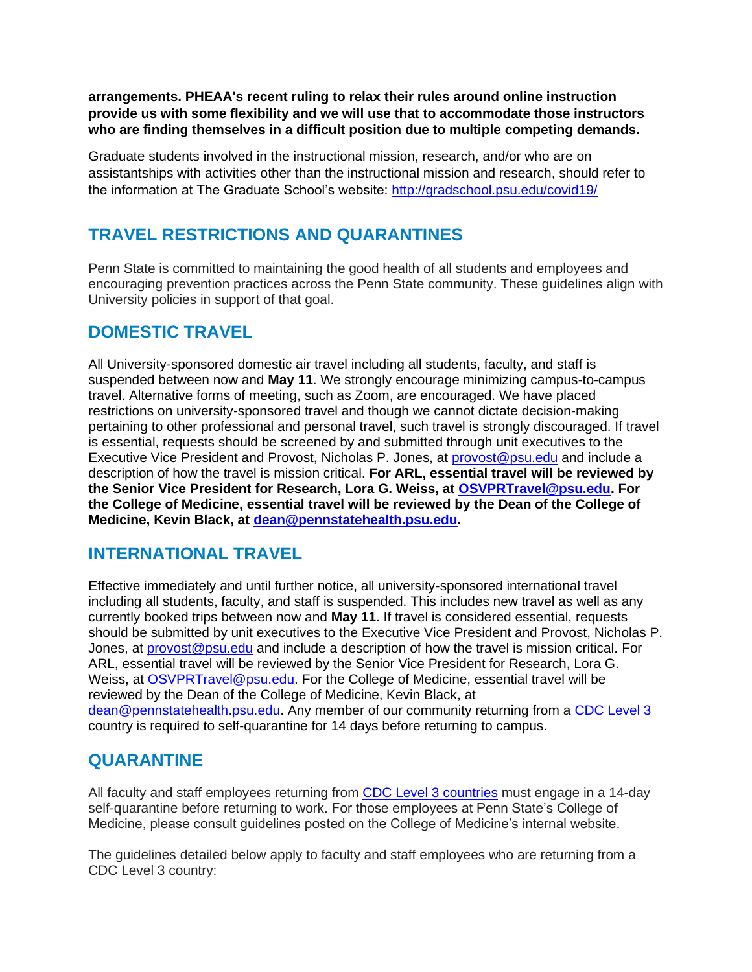**arrangements. PHEAA's recent ruling to relax their rules around online instruction provide us with some flexibility and we will use that to accommodate those instructors who are finding themselves in a difficult position due to multiple competing demands.**

Graduate students involved in the instructional mission, research, and/or who are on assistantships with activities other than the instructional mission and research, should refer to the information at The Graduate School's website:<http://gradschool.psu.edu/covid19/>

# **TRAVEL RESTRICTIONS AND QUARANTINES**

Penn State is committed to maintaining the good health of all students and employees and encouraging prevention practices across the Penn State community. These guidelines align with University policies in support of that goal.

## **DOMESTIC TRAVEL**

All University-sponsored domestic air travel including all students, faculty, and staff is suspended between now and **May 11**. We strongly encourage minimizing campus-to-campus travel. Alternative forms of meeting, such as Zoom, are encouraged. We have placed restrictions on university-sponsored travel and though we cannot dictate decision-making pertaining to other professional and personal travel, such travel is strongly discouraged. If travel is essential, requests should be screened by and submitted through unit executives to the Executive Vice President and Provost, Nicholas P. Jones, at [provost@psu.edu](mailto:provost@psu.edu) and include a description of how the travel is mission critical. **For ARL, essential travel will be reviewed by the Senior Vice President for Research, Lora G. Weiss, at [OSVPRTravel@psu.edu.](mailto:OSVPRTravel@psu.edu) For the College of Medicine, essential travel will be reviewed by the Dean of the College of Medicine, Kevin Black, at [dean@pennstatehealth.psu.edu.](mailto:dean@pennstatehealth.psu.edu)**

## **INTERNATIONAL TRAVEL**

Effective immediately and until further notice, all university-sponsored international travel including all students, faculty, and staff is suspended. This includes new travel as well as any currently booked trips between now and **May 11**. If travel is considered essential, requests should be submitted by unit executives to the Executive Vice President and Provost, Nicholas P. Jones, at [provost@psu.edu](mailto:provost@psu.edu) and include a description of how the travel is mission critical. For ARL, essential travel will be reviewed by the Senior Vice President for Research, Lora G. Weiss, at [OSVPRTravel@psu.edu.](mailto:OSVPRTravel@psu.edu) For the College of Medicine, essential travel will be reviewed by the Dean of the College of Medicine, Kevin Black, at [dean@pennstatehealth.psu.edu.](mailto:dean@pennstatehealth.psu.edu) Any member of our community returning from a [CDC Level 3](https://wwwnc.cdc.gov/travel/notices/warning/coronavirus-europe) country is required to self-quarantine for 14 days before returning to campus.

## **QUARANTINE**

All faculty and staff employees returning from [CDC Level 3 countries](https://wwwnc.cdc.gov/travel/notices/warning/coronavirus-europe) must engage in a 14-day self-quarantine before returning to work. For those employees at Penn State's College of Medicine, please consult guidelines posted on the College of Medicine's internal website.

The guidelines detailed below apply to faculty and staff employees who are returning from a CDC Level 3 country: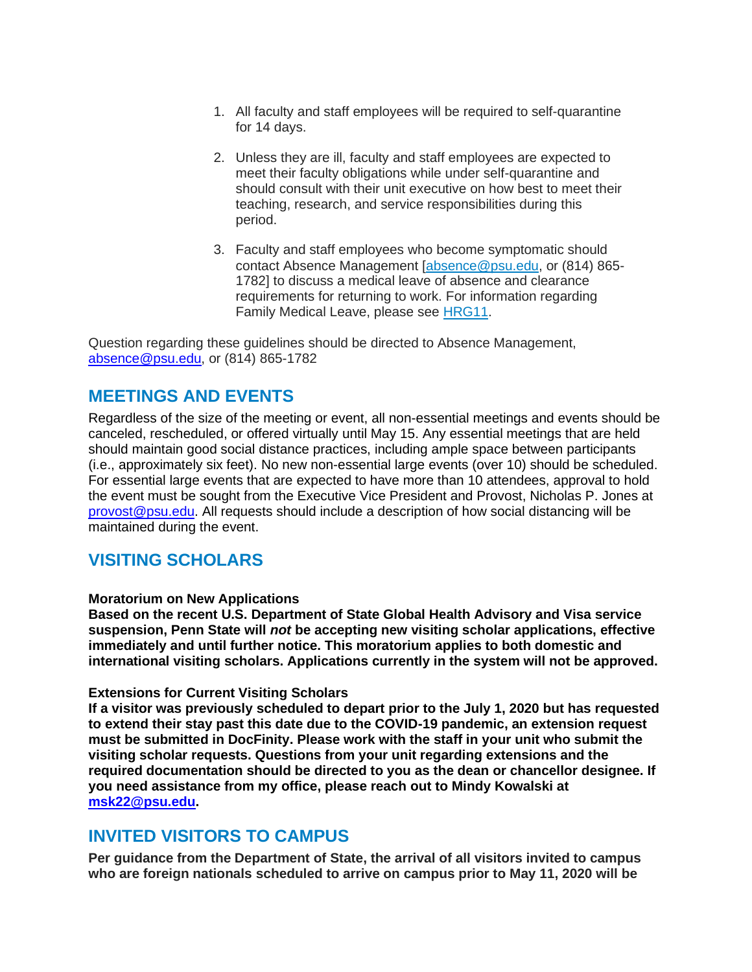- 1. All faculty and staff employees will be required to self-quarantine for 14 days.
- 2. Unless they are ill, faculty and staff employees are expected to meet their faculty obligations while under self-quarantine and should consult with their unit executive on how best to meet their teaching, research, and service responsibilities during this period.
- 3. Faculty and staff employees who become symptomatic should contact Absence Management [\[absence@psu.edu,](mailto:absence@psu.edu) or (814) 865-1782] to discuss a medical leave of absence and clearance requirements for returning to work. For information regarding Family Medical Leave, please see [HRG11.](https://policies.psu.edu/policies/hrg11)

Question regarding these guidelines should be directed to Absence Management, [absence@psu.edu,](mailto:absence@psu.edu) or (814) 865-1782

### **MEETINGS AND EVENTS**

Regardless of the size of the meeting or event, all non-essential meetings and events should be canceled, rescheduled, or offered virtually until May 15. Any essential meetings that are held should maintain good social distance practices, including ample space between participants (i.e., approximately six feet). No new non-essential large events (over 10) should be scheduled. For essential large events that are expected to have more than 10 attendees, approval to hold the event must be sought from the Executive Vice President and Provost, Nicholas P. Jones at [provost@psu.edu.](mailto:provost@psu.edu) All requests should include a description of how social distancing will be maintained during the event.

## **VISITING SCHOLARS**

#### **Moratorium on New Applications**

**Based on the recent U.S. Department of State Global Health Advisory and Visa service suspension, Penn State will** *not* **be accepting new visiting scholar applications, effective immediately and until further notice. This moratorium applies to both domestic and international visiting scholars. Applications currently in the system will not be approved.**

#### **Extensions for Current Visiting Scholars**

**If a visitor was previously scheduled to depart prior to the July 1, 2020 but has requested to extend their stay past this date due to the COVID-19 pandemic, an extension request must be submitted in DocFinity. Please work with the staff in your unit who submit the visiting scholar requests. Questions from your unit regarding extensions and the required documentation should be directed to you as the dean or chancellor designee. If you need assistance from my office, please reach out to Mindy Kowalski at [msk22@psu.edu.](mailto:msk22@psu.edu)**

### **INVITED VISITORS TO CAMPUS**

**Per guidance from the Department of State, the arrival of all visitors invited to campus who are foreign nationals scheduled to arrive on campus prior to May 11, 2020 will be**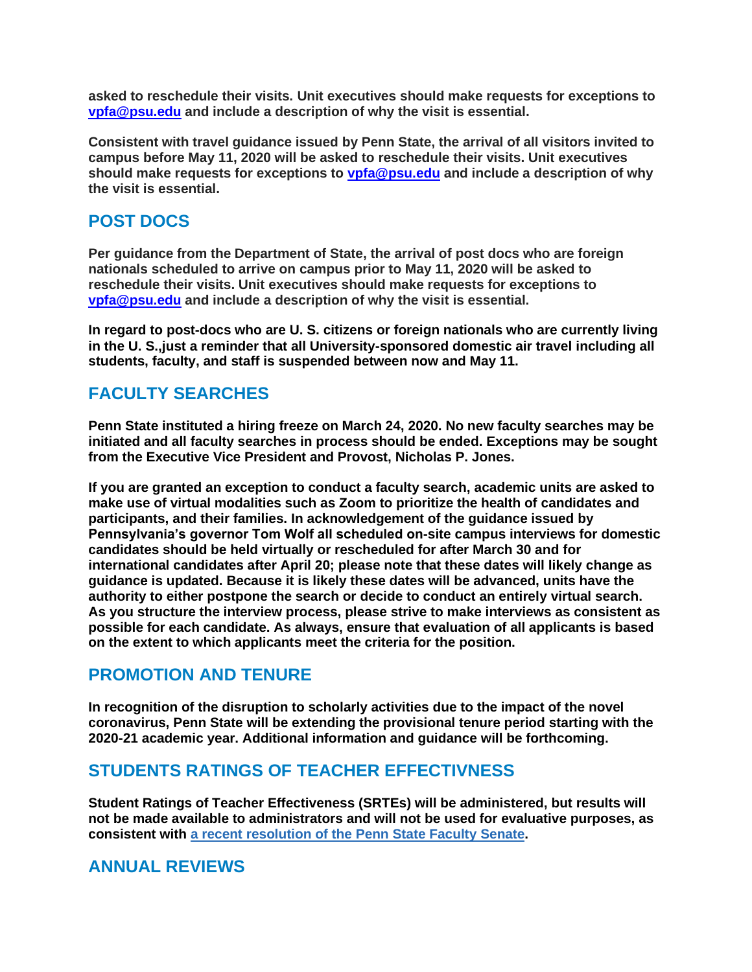**asked to reschedule their visits. Unit executives should make requests for exceptions to [vpfa@psu.edu](mailto:vpfa@psu.edu) and include a description of why the visit is essential.**

**Consistent with travel guidance issued by Penn State, the arrival of all visitors invited to campus before May 11, 2020 will be asked to reschedule their visits. Unit executives should make requests for exceptions to [vpfa@psu.edu](mailto:vpfa@psu.edu) and include a description of why the visit is essential.**

### **POST DOCS**

**Per guidance from the Department of State, the arrival of post docs who are foreign nationals scheduled to arrive on campus prior to May 11, 2020 will be asked to reschedule their visits. Unit executives should make requests for exceptions to [vpfa@psu.edu](mailto:vpfa@psu.edu) and include a description of why the visit is essential.**

**In regard to post-docs who are U. S. citizens or foreign nationals who are currently living in the U. S.,just a reminder that all University-sponsored domestic air travel including all students, faculty, and staff is suspended between now and May 11.**

# **FACULTY SEARCHES**

**Penn State instituted a hiring freeze on March 24, 2020. No new faculty searches may be initiated and all faculty searches in process should be ended. Exceptions may be sought from the Executive Vice President and Provost, Nicholas P. Jones.** 

**If you are granted an exception to conduct a faculty search, academic units are asked to make use of virtual modalities such as Zoom to prioritize the health of candidates and participants, and their families. In acknowledgement of the guidance issued by Pennsylvania's governor Tom Wolf all scheduled on-site campus interviews for domestic candidates should be held virtually or rescheduled for after March 30 and for international candidates after April 20; please note that these dates will likely change as guidance is updated. Because it is likely these dates will be advanced, units have the authority to either postpone the search or decide to conduct an entirely virtual search. As you structure the interview process, please strive to make interviews as consistent as possible for each candidate. As always, ensure that evaluation of all applicants is based on the extent to which applicants meet the criteria for the position.** 

## **PROMOTION AND TENURE**

**In recognition of the disruption to scholarly activities due to the impact of the novel coronavirus, Penn State will be extending the provisional tenure period starting with the 2020-21 academic year. Additional information and guidance will be forthcoming.**

## **STUDENTS RATINGS OF TEACHER EFFECTIVNESS**

**Student Ratings of Teacher Effectiveness (SRTEs) will be administered, but results will not be made available to administrators and will not be used for evaluative purposes, as consistent with a recent [resolution](https://news.psu.edu/story/612111/2020/03/17/administration/senate-explores-satisfactoryunsatisfactory-grading-spring) of the Penn State Faculty Senate.**

## **ANNUAL REVIEWS**